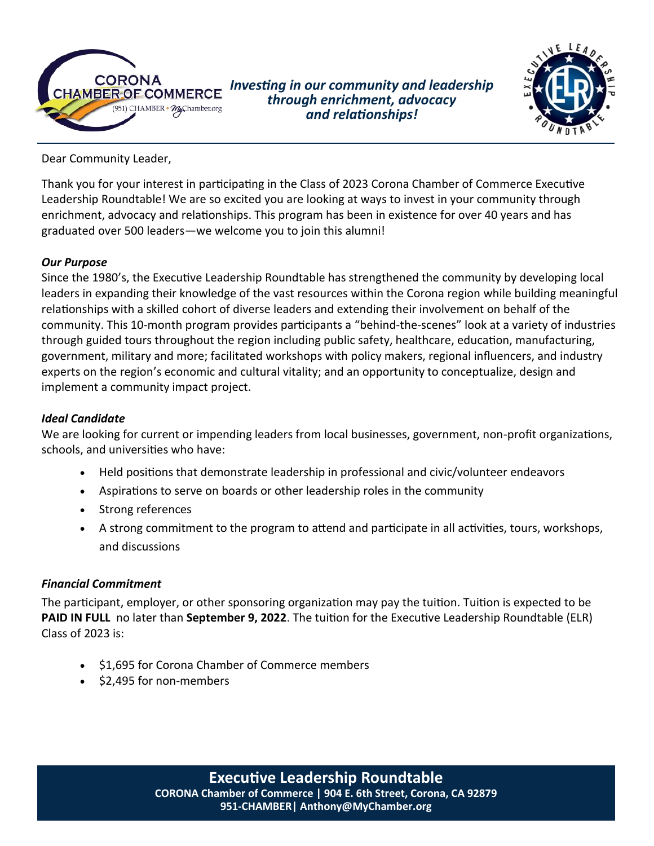

*Investing in our community and leadership through enrichment, advocacy and relationships!*



Dear Community Leader,

Thank you for your interest in participating in the Class of 2023 Corona Chamber of Commerce Executive Leadership Roundtable! We are so excited you are looking at ways to invest in your community through enrichment, advocacy and relationships. This program has been in existence for over 40 years and has graduated over 500 leaders—we welcome you to join this alumni!

### *Our Purpose*

Since the 1980's, the Executive Leadership Roundtable has strengthened the community by developing local leaders in expanding their knowledge of the vast resources within the Corona region while building meaningful relationships with a skilled cohort of diverse leaders and extending their involvement on behalf of the community. This 10-month program provides participants a "behind-the-scenes" look at a variety of industries through guided tours throughout the region including public safety, healthcare, education, manufacturing, government, military and more; facilitated workshops with policy makers, regional influencers, and industry experts on the region's economic and cultural vitality; and an opportunity to conceptualize, design and implement a community impact project.

### *Ideal Candidate*

We are looking for current or impending leaders from local businesses, government, non-profit organizations, schools, and universities who have:

- Held positions that demonstrate leadership in professional and civic/volunteer endeavors
- Aspirations to serve on boards or other leadership roles in the community
- Strong references
- A strong commitment to the program to attend and participate in all activities, tours, workshops, and discussions

### *Financial Commitment*

The participant, employer, or other sponsoring organization may pay the tuition. Tuition is expected to be **PAID IN FULL** no later than **September 9, 2022**. The tuition for the Executive Leadership Roundtable (ELR) Class of 2023 is:

- \$1,695 for Corona Chamber of Commerce members
- \$2,495 for non-members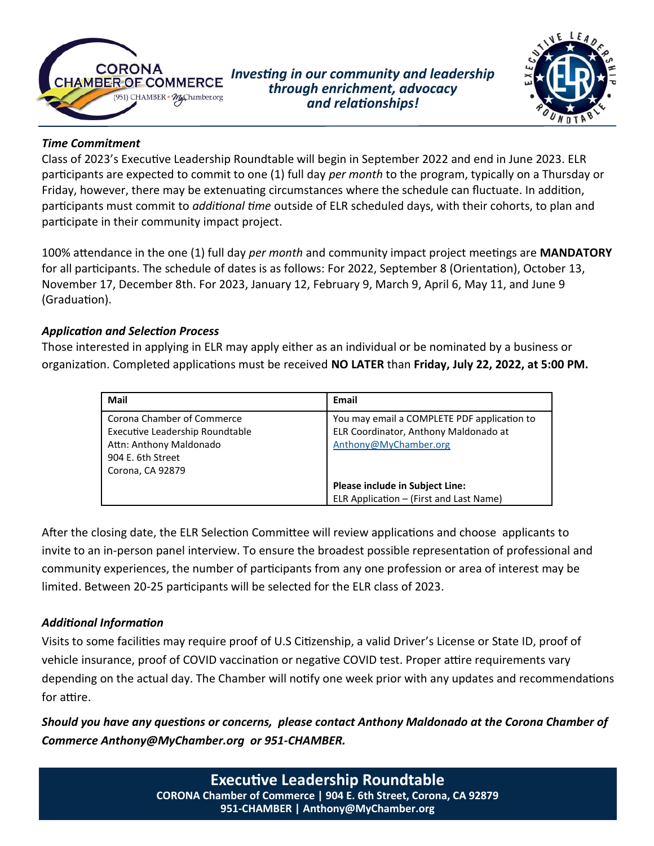

*Investing in our community and leadership through enrichment, advocacy and relationships!*



### *Time Commitment*

Class of 2023's Executive Leadership Roundtable will begin in September 2022 and end in June 2023. ELR participants are expected to commit to one (1) full day *per month* to the program, typically on a Thursday or Friday, however, there may be extenuating circumstances where the schedule can fluctuate. In addition, participants must commit to *additional time* outside of ELR scheduled days, with their cohorts, to plan and participate in their community impact project.

100% attendance in the one (1) full day *per month* and community impact project meetings are **MANDATORY** for all participants. The schedule of dates is as follows: For 2022, September 8 (Orientation), October 13, November 17, December 8th. For 2023, January 12, February 9, March 9, April 6, May 11, and June 9 (Graduation).

### *Application and Selection Process*

Those interested in applying in ELR may apply either as an individual or be nominated by a business or organization. Completed applications must be received **NO LATER** than **Friday, July 22, 2022, at 5:00 PM.** 

| Mail                                                                                                                              | Email                                                                                                         |
|-----------------------------------------------------------------------------------------------------------------------------------|---------------------------------------------------------------------------------------------------------------|
| Corona Chamber of Commerce<br>Executive Leadership Roundtable<br>Attn: Anthony Maldonado<br>904 E. 6th Street<br>Corona, CA 92879 | You may email a COMPLETE PDF application to<br>ELR Coordinator, Anthony Maldonado at<br>Anthony@MyChamber.org |
|                                                                                                                                   | <b>Please include in Subject Line:</b>                                                                        |
|                                                                                                                                   | ELR Application - (First and Last Name)                                                                       |

After the closing date, the ELR Selection Committee will review applications and choose applicants to invite to an in-person panel interview. To ensure the broadest possible representation of professional and community experiences, the number of participants from any one profession or area of interest may be limited. Between 20-25 participants will be selected for the ELR class of 2023.

### *Additional Information*

Visits to some facilities may require proof of U.S Citizenship, a valid Driver's License or State ID, proof of vehicle insurance, proof of COVID vaccination or negative COVID test. Proper attire requirements vary depending on the actual day. The Chamber will notify one week prior with any updates and recommendations for attire.

*Should you have any questions or concerns, please contact Anthony Maldonado at the Corona Chamber of Commerce Anthony@MyChamber.org or 951-CHAMBER.*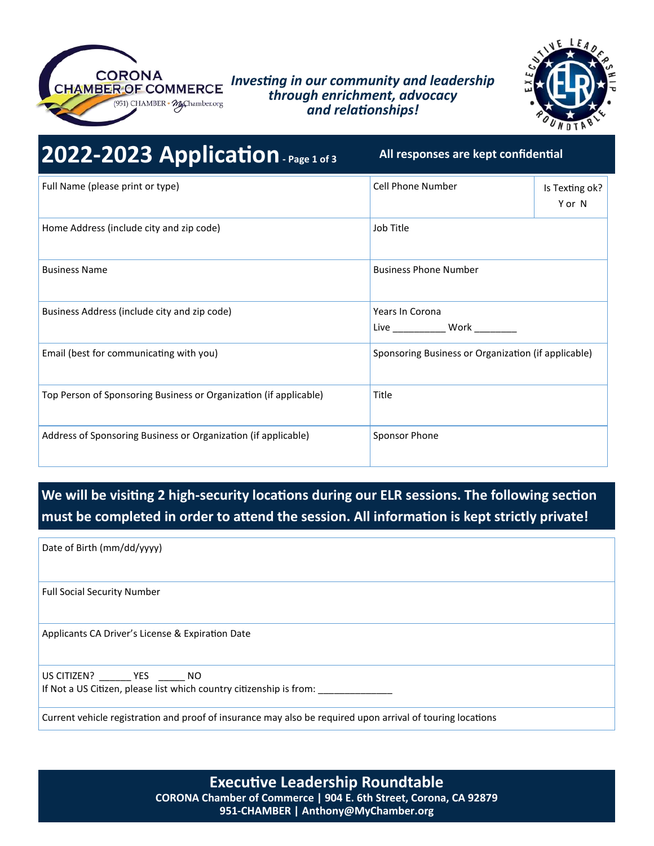

### *Investing in our community and leadership through enrichment, advocacy and relationships!*



| 2022-2023 Application Page 1 of 3                                 | All responses are kept confidential                     |                          |
|-------------------------------------------------------------------|---------------------------------------------------------|--------------------------|
| Full Name (please print or type)                                  | Cell Phone Number                                       | Is Texting ok?<br>Y or N |
| Home Address (include city and zip code)                          | Job Title                                               |                          |
| <b>Business Name</b>                                              | <b>Business Phone Number</b>                            |                          |
| Business Address (include city and zip code)                      | Years In Corona<br>Live _______________ Work __________ |                          |
| Email (best for communicating with you)                           | Sponsoring Business or Organization (if applicable)     |                          |
| Top Person of Sponsoring Business or Organization (if applicable) | Title                                                   |                          |
| Address of Sponsoring Business or Organization (if applicable)    | Sponsor Phone                                           |                          |

## **We will be visiting 2 high-security locations during our ELR sessions. The following section must be completed in order to attend the session. All information is kept strictly private!**

Date of Birth (mm/dd/yyyy)

Full Social Security Number

Applicants CA Driver's License & Expiration Date

US CITIZEN? \_\_\_\_\_\_ YES \_\_\_\_\_ NO If Not a US Citizen, please list which country citizenship is from:

Current vehicle registration and proof of insurance may also be required upon arrival of touring locations

**Executive Leadership Roundtable CORONA Chamber of Commerce | 904 E. 6th Street, Corona, CA 92879 951-CHAMBER | Anthony@MyChamber.org**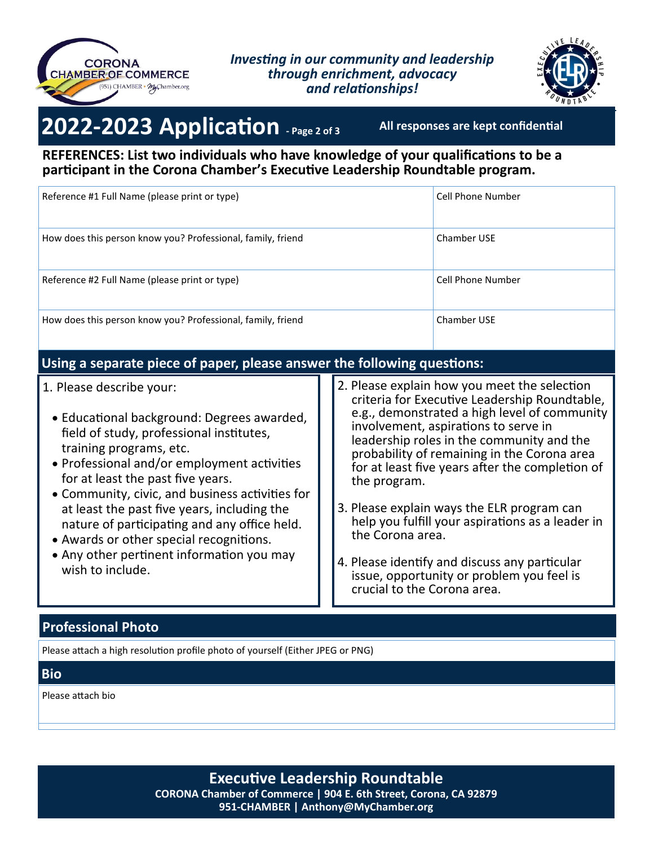

### *Investing in our community and leadership through enrichment, advocacy and relationships!*



# **2022-2023 Application - Page 2 of 3**

**All responses are kept confidential**

**REFERENCES: List two individuals who have knowledge of your qualifications to be a participant in the Corona Chamber's Executive Leadership Roundtable program.**

| Reference #1 Full Name (please print or type)               | Cell Phone Number |
|-------------------------------------------------------------|-------------------|
| How does this person know you? Professional, family, friend | Chamber USE       |
| Reference #2 Full Name (please print or type)               | Cell Phone Number |
| How does this person know you? Professional, family, friend | Chamber USE       |

### **Using a separate piece of paper, please answer the following questions:**

- 1. Please describe your:
	- Educational background: Degrees awarded, field of study, professional institutes, training programs, etc.
	- Professional and/or employment activities for at least the past five years.
	- Community, civic, and business activities for at least the past five years, including the nature of participating and any office held.
	- Awards or other special recognitions.
	- Any other pertinent information you may wish to include.
- 2. Please explain how you meet the selection criteria for Executive Leadership Roundtable, e.g., demonstrated a high level of community involvement, aspirations to serve in leadership roles in the community and the probability of remaining in the Corona area for at least five years after the completion of the program.
- 3. Please explain ways the ELR program can help you fulfill your aspirations as a leader in the Corona area.
- 4. Please identify and discuss any particular issue, opportunity or problem you feel is crucial to the Corona area.

### **Professional Photo**

Please attach a high resolution profile photo of yourself (Either JPEG or PNG)

### **Bio**

Please attach bio